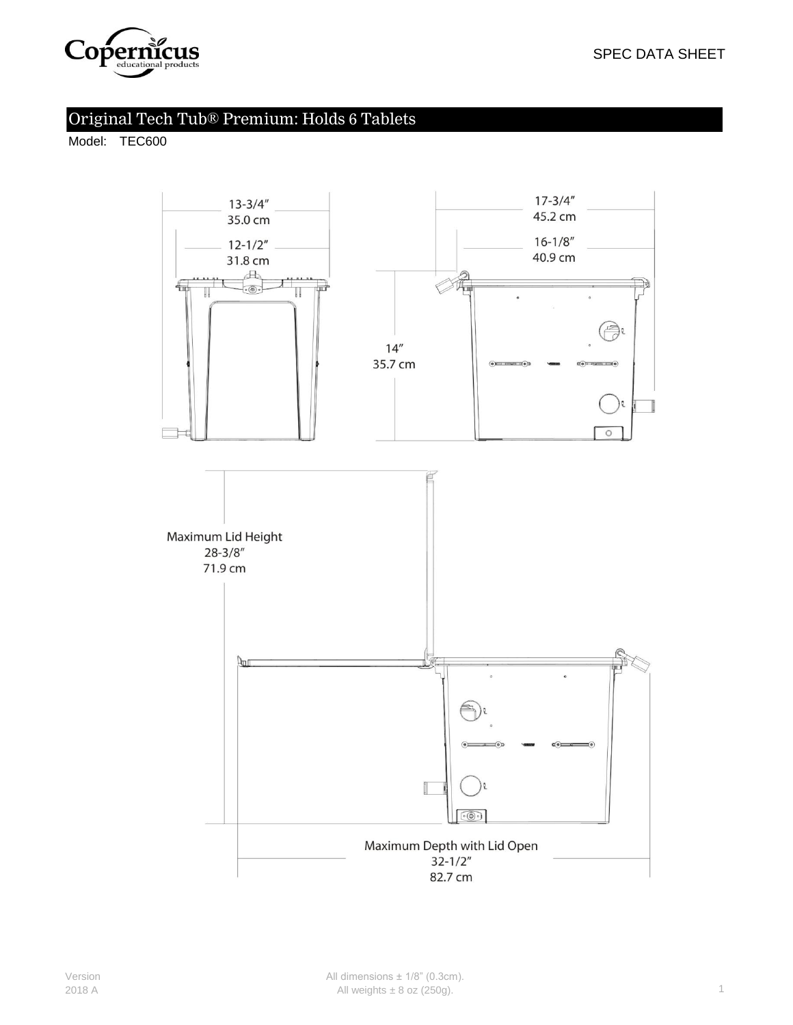

# Original Tech Tub® Premium: Holds 6 Tablets

Model: TEC600